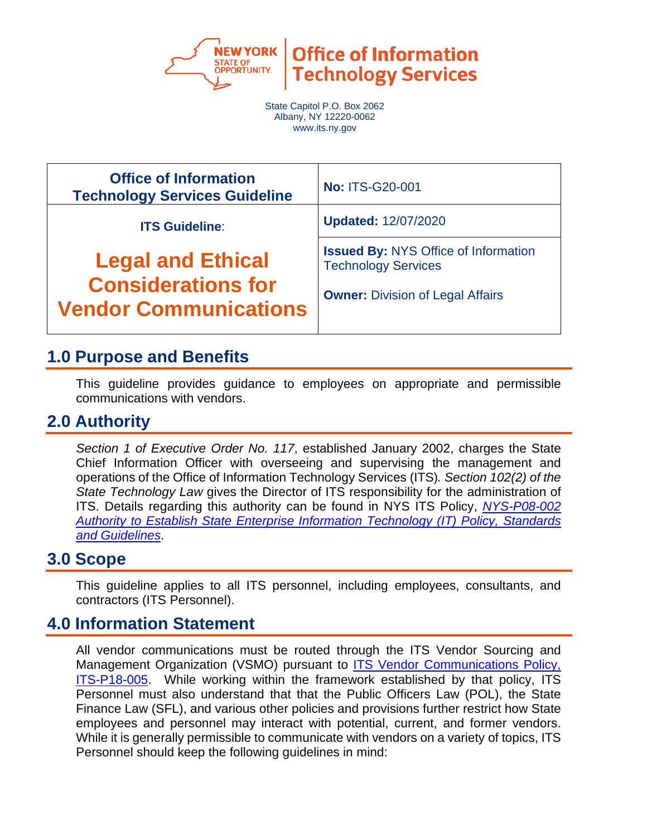

**Office of Information Technology Services** 

State Capitol P.O. Box 2062 Albany, NY 12220-0062 www.its.ny.gov

| <b>Office of Information</b><br><b>Technology Services Guideline</b>                  | <b>No: ITS-G20-001</b>                                                                                               |
|---------------------------------------------------------------------------------------|----------------------------------------------------------------------------------------------------------------------|
| <b>ITS Guideline:</b>                                                                 | <b>Updated: 12/07/2020</b>                                                                                           |
| <b>Legal and Ethical</b><br><b>Considerations for</b><br><b>Vendor Communications</b> | <b>Issued By: NYS Office of Information</b><br><b>Technology Services</b><br><b>Owner: Division of Legal Affairs</b> |

## **1.0 Purpose and Benefits**

This guideline provides guidance to employees on appropriate and permissible communications with vendors.

# **2.0 Authority**

*Section 1 of Executive Order No. 117*, established January 2002, charges the State Chief Information Officer with overseeing and supervising the management and operations of the Office of Information Technology Services (ITS)*. Section 102(2) of the State Technology Law* gives the Director of ITS responsibility for the administration of ITS. Details regarding this authority can be found in NYS ITS Policy, *[NYS-P08-002](https://its.ny.gov/document/authority-establish-state-enterprise-information-technology-it-policy-standards-and-guidelines)  [Authority to Establish State Enterprise Information Technology \(IT\) Policy, Standards](https://its.ny.gov/document/authority-establish-state-enterprise-information-technology-it-policy-standards-and-guidelines)  [and Guidelines](https://its.ny.gov/document/authority-establish-state-enterprise-information-technology-it-policy-standards-and-guidelines)*.

### **3.0 Scope**

This guideline applies to all ITS personnel, including employees, consultants, and contractors (ITS Personnel).

# **4.0 Information Statement**

All vendor communications must be routed through the ITS Vendor Sourcing and Management Organization (VSMO) pursuant to [ITS Vendor Communications Policy,](https://nysemail.sharepoint.com/sites/myITS/InsideEdge/Documents/ITS-P18-005%20Vendor%20Communications.pdf)  [ITS-P18-005.](https://nysemail.sharepoint.com/sites/myITS/InsideEdge/Documents/ITS-P18-005%20Vendor%20Communications.pdf) While working within the framework established by that policy, ITS Personnel must also understand that that the Public Officers Law (POL), the State Finance Law (SFL), and various other policies and provisions further restrict how State employees and personnel may interact with potential, current, and former vendors. While it is generally permissible to communicate with vendors on a variety of topics, ITS Personnel should keep the following guidelines in mind: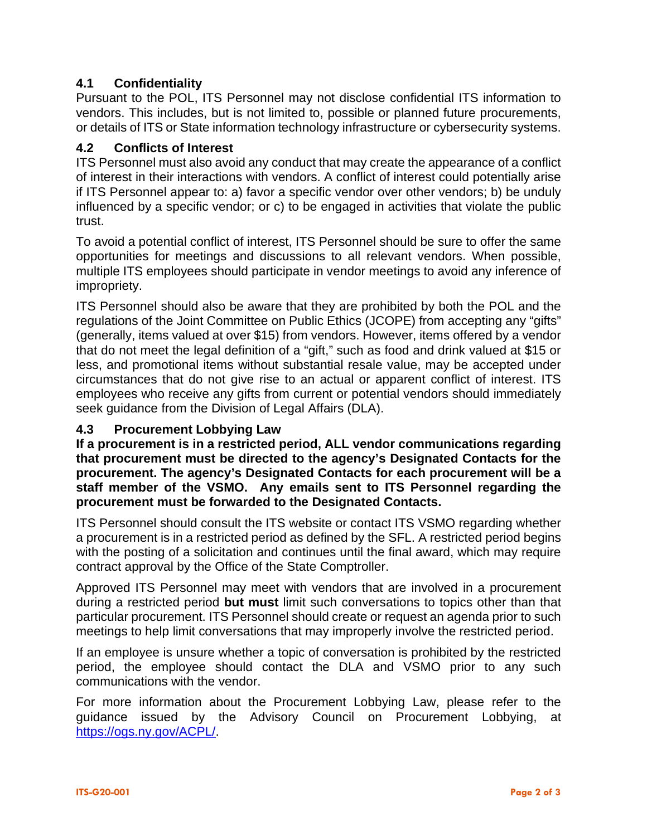#### **4.1 Confidentiality**

Pursuant to the POL, ITS Personnel may not disclose confidential ITS information to vendors. This includes, but is not limited to, possible or planned future procurements, or details of ITS or State information technology infrastructure or cybersecurity systems.

#### **4.2 Conflicts of Interest**

ITS Personnel must also avoid any conduct that may create the appearance of a conflict of interest in their interactions with vendors. A conflict of interest could potentially arise if ITS Personnel appear to: a) favor a specific vendor over other vendors; b) be unduly influenced by a specific vendor; or c) to be engaged in activities that violate the public trust.

To avoid a potential conflict of interest, ITS Personnel should be sure to offer the same opportunities for meetings and discussions to all relevant vendors. When possible, multiple ITS employees should participate in vendor meetings to avoid any inference of impropriety.

ITS Personnel should also be aware that they are prohibited by both the POL and the regulations of the Joint Committee on Public Ethics (JCOPE) from accepting any "gifts" (generally, items valued at over \$15) from vendors. However, items offered by a vendor that do not meet the legal definition of a "gift," such as food and drink valued at \$15 or less, and promotional items without substantial resale value, may be accepted under circumstances that do not give rise to an actual or apparent conflict of interest. ITS employees who receive any gifts from current or potential vendors should immediately seek guidance from the Division of Legal Affairs (DLA).

#### **4.3 Procurement Lobbying Law**

**If a procurement is in a restricted period, ALL vendor communications regarding that procurement must be directed to the agency's Designated Contacts for the procurement. The agency's Designated Contacts for each procurement will be a staff member of the VSMO. Any emails sent to ITS Personnel regarding the procurement must be forwarded to the Designated Contacts.**

ITS Personnel should consult the ITS website or contact ITS VSMO regarding whether a procurement is in a restricted period as defined by the SFL. A restricted period begins with the posting of a solicitation and continues until the final award, which may require contract approval by the Office of the State Comptroller.

Approved ITS Personnel may meet with vendors that are involved in a procurement during a restricted period **but must** limit such conversations to topics other than that particular procurement. ITS Personnel should create or request an agenda prior to such meetings to help limit conversations that may improperly involve the restricted period.

If an employee is unsure whether a topic of conversation is prohibited by the restricted period, the employee should contact the DLA and VSMO prior to any such communications with the vendor.

For more information about the Procurement Lobbying Law, please refer to the guidance issued by the Advisory Council on Procurement Lobbying, at [https://ogs.ny.gov/ACPL/.](https://ogs.ny.gov/ACPL/)